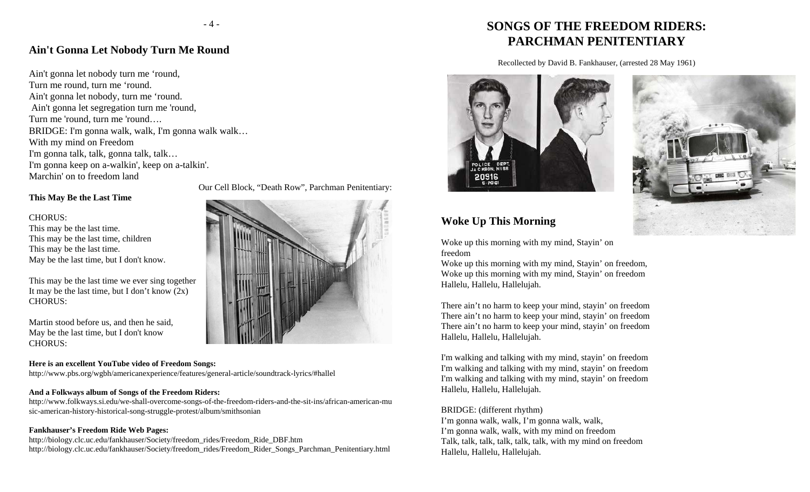### **Ain't Gonna Let Nobody Turn Me Round**

Ain't gonna let nobody turn me 'round, Turn me round, turn me 'round. Ain't gonna let nobody, turn me 'round. Ain't gonna let segregation turn me 'round, Turn me 'round, turn me 'round…. BRIDGE: I'm gonna walk, walk, I'm gonna walk walk… With my mind on Freedom I'm gonna talk, talk, gonna talk, talk… I'm gonna keep on a-walkin', keep on a-talkin'. Marchin' on to freedom land

### **This May Be the Last Time**

#### CHORUS:

This may be the last time. This may be the last time, children This may be the last time. May be the last time, but I don't know.

This may be the last time we ever sing together It may be the last time, but I don't know  $(2x)$ CHORUS:

Martin stood before us, and then he said, May be the last time, but I don't know CHORUS:

#### **Here is an excellent YouTube video of Freedom Songs:**

http://www.pbs.org/wgbh/americanexperience/features/general-article/soundtrack-lyrics/#hallel

### **And a Folkways album of Songs of the Freedom Riders:**

http://www.folkways.si.edu/we-shall-overcome-songs-of-the-freedom-riders-and-the-sit-ins/african-american-mu sic-american-history-historical-song-struggle-protest/album/smithsonian

### **Fankhauser's Freedom Ride Web Pages:**

http://biology.clc.uc.edu/fankhauser/Society/freedom\_rides/Freedom\_Ride\_DBF.htm http://biology.clc.uc.edu/fankhauser/Society/freedom\_rides/Freedom\_Rider\_Songs\_Parchman\_Penitentiary.html

Our Cell Block, "Death Row", Parchman Penitentiary:

# **SONGS OF THE FREEDOM RIDERS:PARCHMAN PENITENTIARY**

Recollected by David B. Fankhauser, (arrested 28 May 1961)





### **Woke Up This Morning**

Woke up this morning with my mind, Stayin' on freedom

Woke up this morning with my mind, Stayin' on freedom, Woke up this morning with my mind, Stayin' on freedom Hallelu, Hallelu, Hallelujah.

There ain't no harm to keep your mind, stayin' on freedom There ain't no harm to keep your mind, stayin' on freedom There ain't no harm to keep your mind, stayin' on freedom Hallelu, Hallelu, Hallelujah.

I'm walking and talking with my mind, stayin' on freedom I'm walking and talking with my mind, stayin' on freedom I'm walking and talking with my mind, stayin' on freedom Hallelu, Hallelu, Hallelujah.

#### BRIDGE: (different rhythm)

I'm gonna walk, walk, I'm gonna walk, walk, I'm gonna walk, walk, with my mind on freedom Talk, talk, talk, talk, talk, talk, with my mind on freedom Hallelu, Hallelu, Hallelujah.